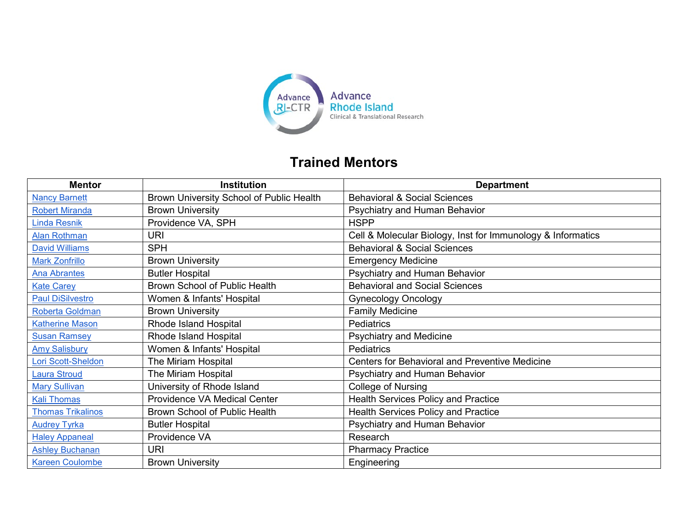

## **Trained Mentors**

| <b>Mentor</b>            | <b>Institution</b>                       | <b>Department</b>                                           |
|--------------------------|------------------------------------------|-------------------------------------------------------------|
| <b>Nancy Barnett</b>     | Brown University School of Public Health | <b>Behavioral &amp; Social Sciences</b>                     |
| <b>Robert Miranda</b>    | <b>Brown University</b>                  | Psychiatry and Human Behavior                               |
| <b>Linda Resnik</b>      | Providence VA, SPH                       | <b>HSPP</b>                                                 |
| <b>Alan Rothman</b>      | <b>URI</b>                               | Cell & Molecular Biology, Inst for Immunology & Informatics |
| <b>David Williams</b>    | <b>SPH</b>                               | <b>Behavioral &amp; Social Sciences</b>                     |
| <b>Mark Zonfrillo</b>    | <b>Brown University</b>                  | <b>Emergency Medicine</b>                                   |
| <b>Ana Abrantes</b>      | <b>Butler Hospital</b>                   | Psychiatry and Human Behavior                               |
| <b>Kate Carey</b>        | <b>Brown School of Public Health</b>     | <b>Behavioral and Social Sciences</b>                       |
| <b>Paul DiSilvestro</b>  | Women & Infants' Hospital                | <b>Gynecology Oncology</b>                                  |
| Roberta Goldman          | <b>Brown University</b>                  | <b>Family Medicine</b>                                      |
| <b>Katherine Mason</b>   | Rhode Island Hospital                    | <b>Pediatrics</b>                                           |
| <b>Susan Ramsey</b>      | Rhode Island Hospital                    | <b>Psychiatry and Medicine</b>                              |
| <b>Amy Salisbury</b>     | Women & Infants' Hospital                | <b>Pediatrics</b>                                           |
| Lori Scott-Sheldon       | The Miriam Hospital                      | <b>Centers for Behavioral and Preventive Medicine</b>       |
| <b>Laura Stroud</b>      | The Miriam Hospital                      | Psychiatry and Human Behavior                               |
| <b>Mary Sullivan</b>     | University of Rhode Island               | College of Nursing                                          |
| <b>Kali Thomas</b>       | <b>Providence VA Medical Center</b>      | <b>Health Services Policy and Practice</b>                  |
| <b>Thomas Trikalinos</b> | Brown School of Public Health            | <b>Health Services Policy and Practice</b>                  |
| <b>Audrey Tyrka</b>      | <b>Butler Hospital</b>                   | Psychiatry and Human Behavior                               |
| <b>Haley Appaneal</b>    | Providence VA                            | Research                                                    |
| <b>Ashley Buchanan</b>   | URI                                      | <b>Pharmacy Practice</b>                                    |
| <b>Kareen Coulombe</b>   | <b>Brown University</b>                  | Engineering                                                 |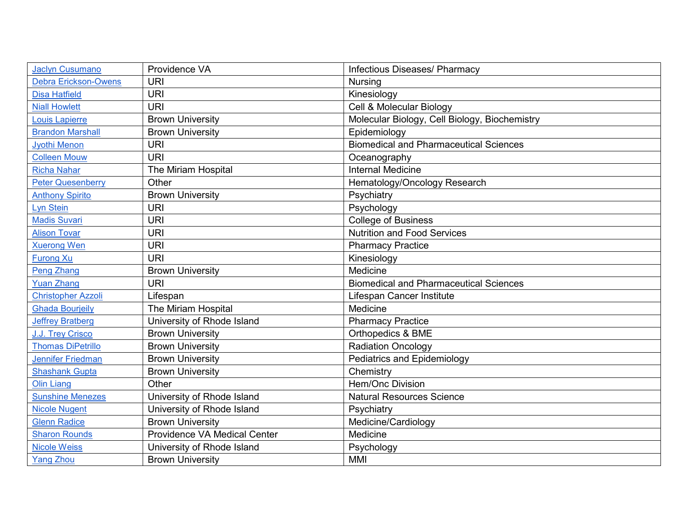| <b>Jaclyn Cusumano</b>      | Providence VA                | Infectious Diseases/ Pharmacy                 |
|-----------------------------|------------------------------|-----------------------------------------------|
| <b>Debra Erickson-Owens</b> | <b>URI</b>                   | <b>Nursing</b>                                |
| <b>Disa Hatfield</b>        | <b>URI</b>                   | Kinesiology                                   |
| <b>Niall Howlett</b>        | <b>URI</b>                   | Cell & Molecular Biology                      |
| Louis Lapierre              | <b>Brown University</b>      | Molecular Biology, Cell Biology, Biochemistry |
| <b>Brandon Marshall</b>     | <b>Brown University</b>      | Epidemiology                                  |
| <b>Jyothi Menon</b>         | <b>URI</b>                   | <b>Biomedical and Pharmaceutical Sciences</b> |
| <b>Colleen Mouw</b>         | <b>URI</b>                   | Oceanography                                  |
| <b>Richa Nahar</b>          | The Miriam Hospital          | <b>Internal Medicine</b>                      |
| <b>Peter Quesenberry</b>    | Other                        | Hematology/Oncology Research                  |
| <b>Anthony Spirito</b>      | <b>Brown University</b>      | Psychiatry                                    |
| <b>Lyn Stein</b>            | <b>URI</b>                   | Psychology                                    |
| <b>Madis Suvari</b>         | <b>URI</b>                   | <b>College of Business</b>                    |
| <b>Alison Tovar</b>         | <b>URI</b>                   | <b>Nutrition and Food Services</b>            |
| <b>Xuerong Wen</b>          | <b>URI</b>                   | <b>Pharmacy Practice</b>                      |
| <b>Furong Xu</b>            | <b>URI</b>                   | Kinesiology                                   |
| <b>Peng Zhang</b>           | <b>Brown University</b>      | Medicine                                      |
| <b>Yuan Zhang</b>           | <b>URI</b>                   | <b>Biomedical and Pharmaceutical Sciences</b> |
| <b>Christopher Azzoli</b>   | Lifespan                     | Lifespan Cancer Institute                     |
| <b>Ghada Bourjeily</b>      | The Miriam Hospital          | Medicine                                      |
| <b>Jeffrey Bratberg</b>     | University of Rhode Island   | <b>Pharmacy Practice</b>                      |
| J.J. Trey Crisco            | <b>Brown University</b>      | Orthopedics & BME                             |
| <b>Thomas DiPetrillo</b>    | <b>Brown University</b>      | <b>Radiation Oncology</b>                     |
| <b>Jennifer Friedman</b>    | <b>Brown University</b>      | <b>Pediatrics and Epidemiology</b>            |
| <b>Shashank Gupta</b>       | <b>Brown University</b>      | Chemistry                                     |
| <b>Olin Liang</b>           | Other                        | Hem/Onc Division                              |
| <b>Sunshine Menezes</b>     | University of Rhode Island   | <b>Natural Resources Science</b>              |
| <b>Nicole Nugent</b>        | University of Rhode Island   | Psychiatry                                    |
| <b>Glenn Radice</b>         | <b>Brown University</b>      | Medicine/Cardiology                           |
| <b>Sharon Rounds</b>        | Providence VA Medical Center | Medicine                                      |
| <b>Nicole Weiss</b>         | University of Rhode Island   | Psychology                                    |
| <b>Yang Zhou</b>            | <b>Brown University</b>      | <b>MMI</b>                                    |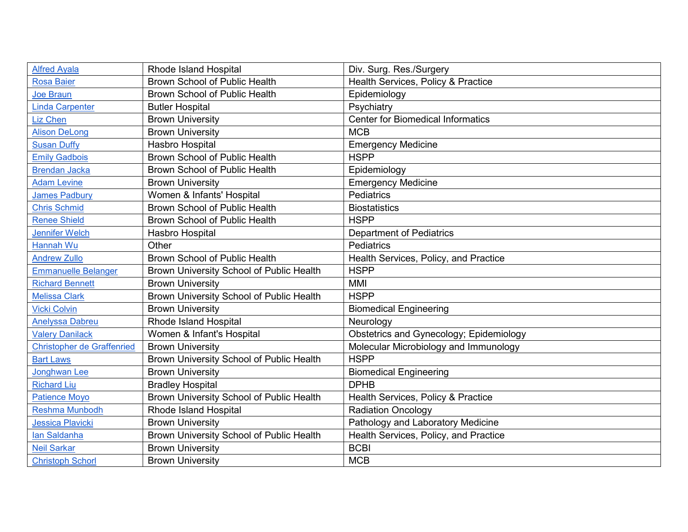| <b>Alfred Ayala</b>               | <b>Rhode Island Hospital</b>             | Div. Surg. Res./Surgery                  |
|-----------------------------------|------------------------------------------|------------------------------------------|
| <b>Rosa Baier</b>                 | <b>Brown School of Public Health</b>     | Health Services, Policy & Practice       |
| <b>Joe Braun</b>                  | <b>Brown School of Public Health</b>     | Epidemiology                             |
| <b>Linda Carpenter</b>            | <b>Butler Hospital</b>                   | Psychiatry                               |
| Liz Chen                          | <b>Brown University</b>                  | <b>Center for Biomedical Informatics</b> |
| <b>Alison DeLong</b>              | <b>Brown University</b>                  | <b>MCB</b>                               |
| <b>Susan Duffy</b>                | Hasbro Hospital                          | <b>Emergency Medicine</b>                |
| <b>Emily Gadbois</b>              | <b>Brown School of Public Health</b>     | <b>HSPP</b>                              |
| <b>Brendan Jacka</b>              | <b>Brown School of Public Health</b>     | Epidemiology                             |
| <b>Adam Levine</b>                | <b>Brown University</b>                  | <b>Emergency Medicine</b>                |
| <b>James Padbury</b>              | Women & Infants' Hospital                | Pediatrics                               |
| <b>Chris Schmid</b>               | <b>Brown School of Public Health</b>     | <b>Biostatistics</b>                     |
| <b>Renee Shield</b>               | <b>Brown School of Public Health</b>     | <b>HSPP</b>                              |
| <b>Jennifer Welch</b>             | Hasbro Hospital                          | <b>Department of Pediatrics</b>          |
| Hannah Wu                         | Other                                    | Pediatrics                               |
| <b>Andrew Zullo</b>               | Brown School of Public Health            | Health Services, Policy, and Practice    |
| <b>Emmanuelle Belanger</b>        | Brown University School of Public Health | <b>HSPP</b>                              |
| <b>Richard Bennett</b>            | <b>Brown University</b>                  | <b>MMI</b>                               |
| <b>Melissa Clark</b>              | Brown University School of Public Health | <b>HSPP</b>                              |
| <b>Vicki Colvin</b>               | <b>Brown University</b>                  | <b>Biomedical Engineering</b>            |
| <b>Anelyssa Dabreu</b>            | <b>Rhode Island Hospital</b>             | Neurology                                |
| <b>Valery Danilack</b>            | Women & Infant's Hospital                | Obstetrics and Gynecology; Epidemiology  |
| <b>Christopher de Graffenried</b> | <b>Brown University</b>                  | Molecular Microbiology and Immunology    |
| <b>Bart Laws</b>                  | Brown University School of Public Health | <b>HSPP</b>                              |
| Jonghwan Lee                      | <b>Brown University</b>                  | <b>Biomedical Engineering</b>            |
| <b>Richard Liu</b>                | <b>Bradley Hospital</b>                  | <b>DPHB</b>                              |
| <b>Patience Moyo</b>              | Brown University School of Public Health | Health Services, Policy & Practice       |
| Reshma Munbodh                    | <b>Rhode Island Hospital</b>             | <b>Radiation Oncology</b>                |
| <b>Jessica Plavicki</b>           | <b>Brown University</b>                  | Pathology and Laboratory Medicine        |
| lan Saldanha                      | Brown University School of Public Health | Health Services, Policy, and Practice    |
| <b>Neil Sarkar</b>                | <b>Brown University</b>                  | <b>BCBI</b>                              |
| <b>Christoph Schorl</b>           | <b>Brown University</b>                  | <b>MCB</b>                               |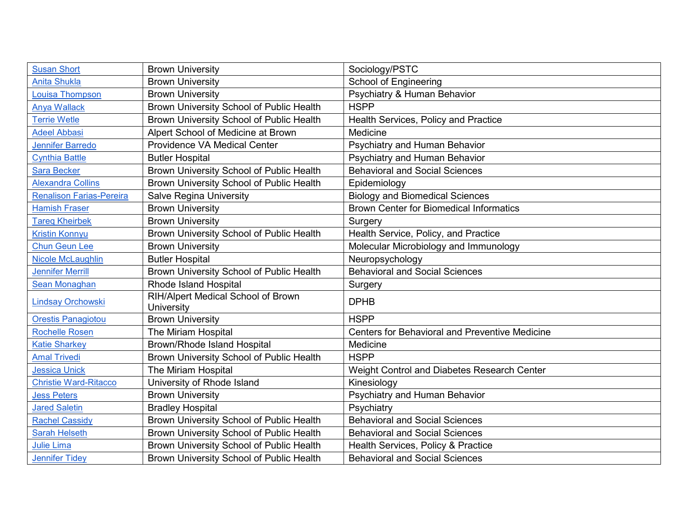| <b>Susan Short</b>              | <b>Brown University</b>                          | Sociology/PSTC                                        |
|---------------------------------|--------------------------------------------------|-------------------------------------------------------|
| <b>Anita Shukla</b>             | <b>Brown University</b>                          | <b>School of Engineering</b>                          |
| Louisa Thompson                 | <b>Brown University</b>                          | Psychiatry & Human Behavior                           |
| <b>Anya Wallack</b>             | Brown University School of Public Health         | <b>HSPP</b>                                           |
| <b>Terrie Wetle</b>             | Brown University School of Public Health         | Health Services, Policy and Practice                  |
| <b>Adeel Abbasi</b>             | Alpert School of Medicine at Brown               | Medicine                                              |
| <b>Jennifer Barredo</b>         | <b>Providence VA Medical Center</b>              | Psychiatry and Human Behavior                         |
| <b>Cynthia Battle</b>           | <b>Butler Hospital</b>                           | Psychiatry and Human Behavior                         |
| <b>Sara Becker</b>              | Brown University School of Public Health         | <b>Behavioral and Social Sciences</b>                 |
| <b>Alexandra Collins</b>        | Brown University School of Public Health         | Epidemiology                                          |
| <b>Renalison Farias-Pereira</b> | <b>Salve Regina University</b>                   | <b>Biology and Biomedical Sciences</b>                |
| <b>Hamish Fraser</b>            | <b>Brown University</b>                          | <b>Brown Center for Biomedical Informatics</b>        |
| <b>Tareg Kheirbek</b>           | <b>Brown University</b>                          | Surgery                                               |
| <b>Kristin Konnyu</b>           | Brown University School of Public Health         | Health Service, Policy, and Practice                  |
| <b>Chun Geun Lee</b>            | <b>Brown University</b>                          | Molecular Microbiology and Immunology                 |
| <b>Nicole McLaughlin</b>        | <b>Butler Hospital</b>                           | Neuropsychology                                       |
| <b>Jennifer Merrill</b>         | Brown University School of Public Health         | <b>Behavioral and Social Sciences</b>                 |
| Sean Monaghan                   | <b>Rhode Island Hospital</b>                     | Surgery                                               |
| <b>Lindsay Orchowski</b>        | RIH/Alpert Medical School of Brown<br>University | <b>DPHB</b>                                           |
| <b>Orestis Panagiotou</b>       | <b>Brown University</b>                          | <b>HSPP</b>                                           |
| <b>Rochelle Rosen</b>           | The Miriam Hospital                              | <b>Centers for Behavioral and Preventive Medicine</b> |
| <b>Katie Sharkey</b>            | <b>Brown/Rhode Island Hospital</b>               | Medicine                                              |
| <b>Amal Trivedi</b>             | Brown University School of Public Health         | <b>HSPP</b>                                           |
| <b>Jessica Unick</b>            | The Miriam Hospital                              | Weight Control and Diabetes Research Center           |
| <b>Christie Ward-Ritacco</b>    | University of Rhode Island                       | Kinesiology                                           |
| <b>Jess Peters</b>              | <b>Brown University</b>                          | Psychiatry and Human Behavior                         |
| <b>Jared Saletin</b>            | <b>Bradley Hospital</b>                          | Psychiatry                                            |
| <b>Rachel Cassidy</b>           | Brown University School of Public Health         | <b>Behavioral and Social Sciences</b>                 |
| <b>Sarah Helseth</b>            | Brown University School of Public Health         | <b>Behavioral and Social Sciences</b>                 |
| <b>Julie Lima</b>               | Brown University School of Public Health         | Health Services, Policy & Practice                    |
| <b>Jennifer Tidey</b>           | Brown University School of Public Health         | <b>Behavioral and Social Sciences</b>                 |